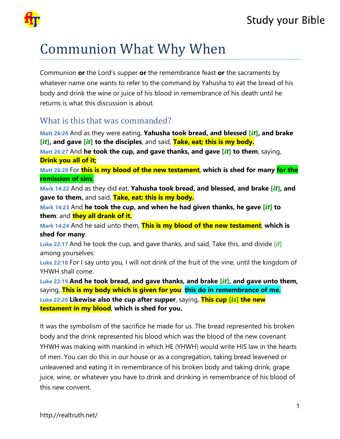

# Communion What Why When

Communion **or** the Lord's supper **or** the remembrance feast **or** the sacraments by whatever name one wants to refer to the command by Yahusha to eat the bread of his body and drink the wine or juice of his blood in remembrance of his death until he returns is what this discussion is about.

## What is this that was commanded?

**Matt 26:26** And as they were eating, **Yahusha took bread, and blessed [***it***], and brake [***it***], and gave [***it***] to the disciples**, and said, **Take, eat; this is my body. Matt 26:27** And **he took the cup, and gave thanks, and gave [***it***] to them**, saying, **Drink you all of it;**

**Matt 26:28** For **this is my blood of the new testament**, **which is shed for many for the remission of sins**.

**Mark 14:22** And as they did eat, **Yahusha took bread, and blessed, and brake [***it***], and gave to them,** and said, **Take, eat: this is my body.**

**Mark 14:23** And **he took the cup, and when he had given thanks, he gave [***it***] to them**: and **they all drank of it.**

**Mark 14:24** And he said unto them, **This is my blood of the new testament**, **which is shed for many**.

**Luke 22:17** And he took the cup, and gave thanks, and said, Take this, and divide [*it*] among yourselves:

**Luke 22:18** For I say unto you, I will not drink of the fruit of the vine, until the kingdom of YHWH shall come.

**Luke 22:19 And he took bread, and gave thanks, and brake [***it***], and gave unto them,** saying, **This is my body which is given for you**: **this do in remembrance of me. Luke 22:20 Likewise also the cup after supper**, saying, **This cup [***is***] the new testament in my blood**, **which is shed for you.**

It was the symbolism of the sacrifice he made for us. The bread represented his broken body and the drink represented his blood which was the blood of the new covenant YHWH was making with mankind in which HE (YHWH) would write HIS law in the hearts of men. You can do this in our house or as a congregation, taking bread leavened or unleavened and eating it in remembrance of his broken body and taking drink, grape juice, wine, or whatever you have to drink and drinking in remembrance of his blood of this new convent.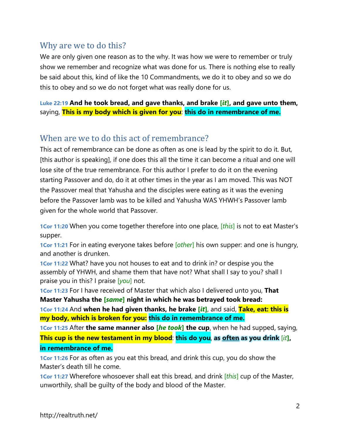### Why are we to do this?

We are only given one reason as to the why. It was how we were to remember or truly show we remember and recognize what was done for us. There is nothing else to really be said about this, kind of like the 10 Commandments, we do it to obey and so we do this to obey and so we do not forget what was really done for us.

**Luke 22:19 And he took bread, and gave thanks, and brake [***it***], and gave unto them,** saying, **This is my body which is given for you**: **this do in remembrance of me.**

#### When are we to do this act of remembrance?

This act of remembrance can be done as often as one is lead by the spirit to do it. But, [this author is speaking], if one does this all the time it can become a ritual and one will lose site of the true remembrance. For this author I prefer to do it on the evening starting Passover and do, do it at other times in the year as I am moved. This was NOT the Passover meal that Yahusha and the disciples were eating as it was the evening before the Passover lamb was to be killed and Yahusha WAS YHWH's Passover lamb given for the whole world that Passover.

**1Cor 11:20** When you come together therefore into one place, [*this*] is not to eat Master's supper.

**1Cor 11:21** For in eating everyone takes before [*other*] his own supper: and one is hungry, and another is drunken.

**1Cor 11:22** What? have you not houses to eat and to drink in? or despise you the assembly of YHWH, and shame them that have not? What shall I say to you? shall I praise you in this? I praise [*you*] not.

**1Cor 11:23** For I have received of Master that which also I delivered unto you, **That Master Yahusha the [***same***] night in which he was betrayed took bread:**

**1Cor 11:24** And **when he had given thanks, he brake [***it***]**, and said, **Take, eat: this is my body, which is broken for you: this do in remembrance of me.**

**1Cor 11:25** After **the same manner also [***he took***] the cup**, when he had supped, saying, **This cup is the new testament in my blood**: **this do you**, **as often as you drink** [*it***], in remembrance of me.**

**1Cor 11:26** For as often as you eat this bread, and drink this cup, you do show the Master's death till he come.

**1Cor 11:27** Wherefore whosoever shall eat this bread, and drink [*this*] cup of the Master, unworthily, shall be guilty of the body and blood of the Master.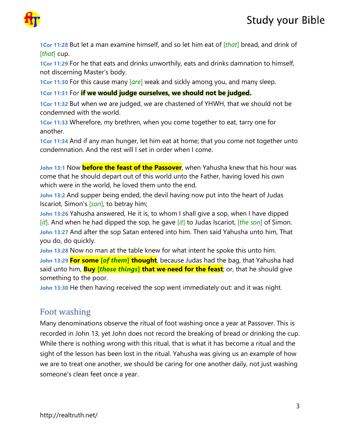



**1Cor 11:28** But let a man examine himself, and so let him eat of [*that*] bread, and drink of [*that*] cup.

**1Cor 11:29** For he that eats and drinks unworthily, eats and drinks damnation to himself, not discerning Master's body.

**1Cor 11:30** For this cause many [*are*] weak and sickly among you, and many sleep.

#### **1Cor 11:31** For **if we would judge ourselves, we should not be judged.**

**1Cor 11:32** But when we are judged, we are chastened of YHWH, that we should not be condemned with the world.

**1Cor 11:33** Wherefore, my brethren, when you come together to eat, tarry one for another.

**1Cor 11:34** And if any man hunger, let him eat at home; that you come not together unto condemnation. And the rest will I set in order when I come.

**John 13:1** Now **before the feast of the Passover**, when Yahusha knew that his hour was come that he should depart out of this world unto the Father, having loved his own which were in the world, he loved them unto the end.

**John 13:2** And supper being ended, the devil having now put into the heart of Judas Iscariot, Simon's [*son*], to betray him;

**John 13:26** Yahusha answered, He it is, to whom I shall give a sop, when I have dipped [*it*]. And when he had dipped the sop, he gave [*it*] to Judas Iscariot, [*the son*] of Simon. **John 13:27** And after the sop Satan entered into him. Then said Yahusha unto him, That you do, do quickly.

**John 13:28** Now no man at the table knew for what intent he spoke this unto him.

**John 13:29 For some [***of them***] thought**, because Judas had the bag, that Yahusha had said unto him, **Buy [***those things***] that we need for the feast**; or, that he should give something to the poor.

**John 13:30** He then having received the sop went immediately out: and it was night.

#### Foot washing

Many denominations observe the ritual of foot washing once a year at Passover. This is recorded in John 13, yet John does not record the breaking of bread or drinking the cup. While there is nothing wrong with this ritual, that is what it has become a ritual and the sight of the lesson has been lost in the ritual. Yahusha was giving us an example of how we are to treat one another, we should be caring for one another daily, not just washing someone's clean feet once a year.